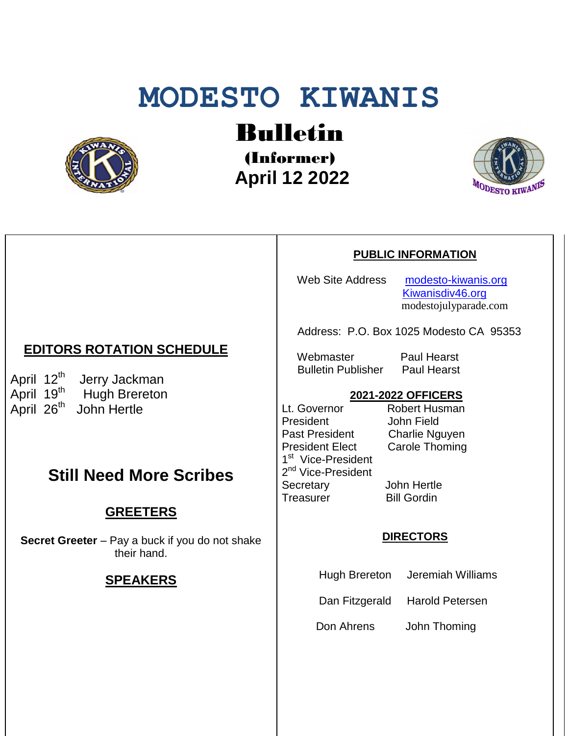# **MODESTO KIWANIS**



Bulletin

(Informer)  **April 12 2022**



#### **PUBLIC INFORMATION**

Web Site Address [modesto-kiwanis.org](http://modesto-kiwanis.org/) [Kiwanisdiv46.org](http://www.kiwanisdiv46.org/) modestojulyparade.com

Address: P.O. Box 1025 Modesto CA 95353

Webmaster Paul Hearst Bulletin Publisher Paul Hearst

# **2021-2022 OFFICERS**

Lt. Governor Robert Husman President John Field Past President Charlie Nguyen President Elect Carole Thoming 1<sup>st</sup> Vice-President 2<sup>nd</sup> Vice-President Secretary John Hertle Treasurer Bill Gordin

#### **DIRECTORS**

Hugh Brereton Jeremiah Williams

Dan Fitzgerald Harold Petersen

Don Ahrens John Thoming

## **EDITORS ROTATION SCHEDULE**

April 12<sup>th</sup> Jerry Jackman April 19<sup>th</sup> Hugh Brereton April 26<sup>th</sup> John Hertle

# **Still Need More Scribes**

### **GREETERS**

**Secret Greeter** – Pay a buck if you do not shake their hand.

#### **SPEAKERS**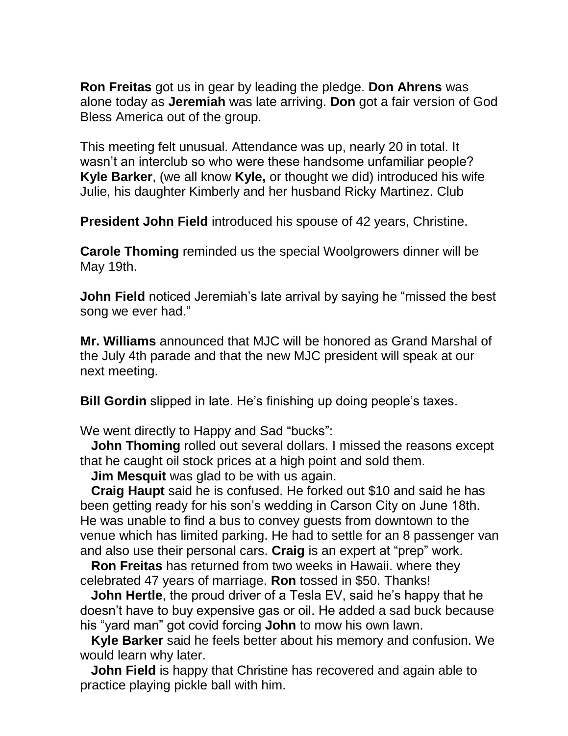**Ron Freitas** got us in gear by leading the pledge. **Don Ahrens** was alone today as **Jeremiah** was late arriving. **Don** got a fair version of God Bless America out of the group.

This meeting felt unusual. Attendance was up, nearly 20 in total. It wasn't an interclub so who were these handsome unfamiliar people? **Kyle Barker**, (we all know **Kyle,** or thought we did) introduced his wife Julie, his daughter Kimberly and her husband Ricky Martinez. Club

**President John Field** introduced his spouse of 42 years, Christine.

**Carole Thoming** reminded us the special Woolgrowers dinner will be May 19th.

**John Field** noticed Jeremiah's late arrival by saying he "missed the best" song we ever had."

**Mr. Williams** announced that MJC will be honored as Grand Marshal of the July 4th parade and that the new MJC president will speak at our next meeting.

**Bill Gordin** slipped in late. He's finishing up doing people's taxes.

We went directly to Happy and Sad "bucks":

 **John Thoming** rolled out several dollars. I missed the reasons except that he caught oil stock prices at a high point and sold them.

 **Jim Mesquit** was glad to be with us again.

 **Craig Haupt** said he is confused. He forked out \$10 and said he has been getting ready for his son's wedding in Carson City on June 18th. He was unable to find a bus to convey guests from downtown to the venue which has limited parking. He had to settle for an 8 passenger van and also use their personal cars. **Craig** is an expert at "prep" work.

 **Ron Freitas** has returned from two weeks in Hawaii. where they celebrated 47 years of marriage. **Ron** tossed in \$50. Thanks!

 **John Hertle**, the proud driver of a Tesla EV, said he's happy that he doesn't have to buy expensive gas or oil. He added a sad buck because his "yard man" got covid forcing **John** to mow his own lawn.

 **Kyle Barker** said he feels better about his memory and confusion. We would learn why later.

 **John Field** is happy that Christine has recovered and again able to practice playing pickle ball with him.